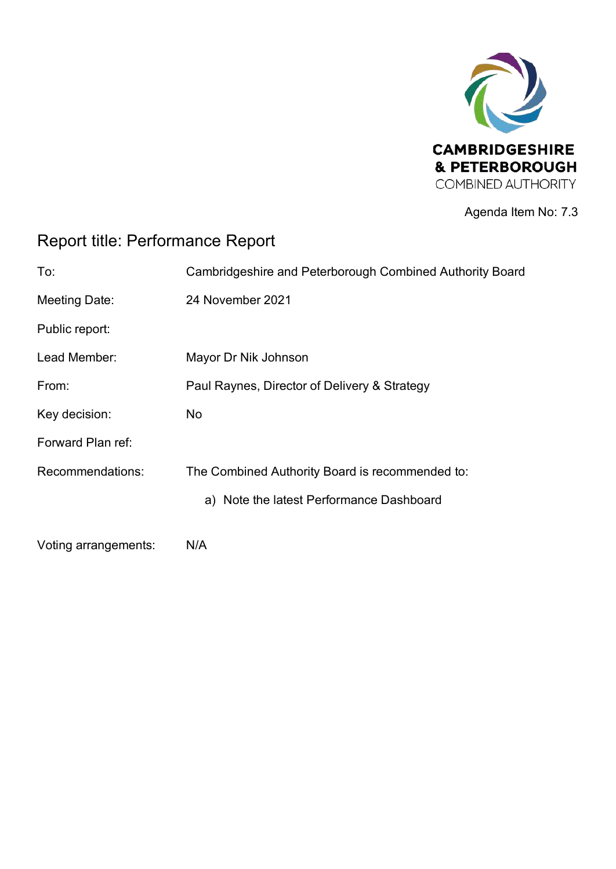

Agenda Item No: 7.3

## Report title: Performance Report

| To:                  | Cambridgeshire and Peterborough Combined Authority Board |
|----------------------|----------------------------------------------------------|
| Meeting Date:        | 24 November 2021                                         |
| Public report:       |                                                          |
| Lead Member:         | Mayor Dr Nik Johnson                                     |
| From:                | Paul Raynes, Director of Delivery & Strategy             |
| Key decision:        | No                                                       |
| Forward Plan ref:    |                                                          |
| Recommendations:     | The Combined Authority Board is recommended to:          |
|                      | a) Note the latest Performance Dashboard                 |
| Voting arrangements: | N/A                                                      |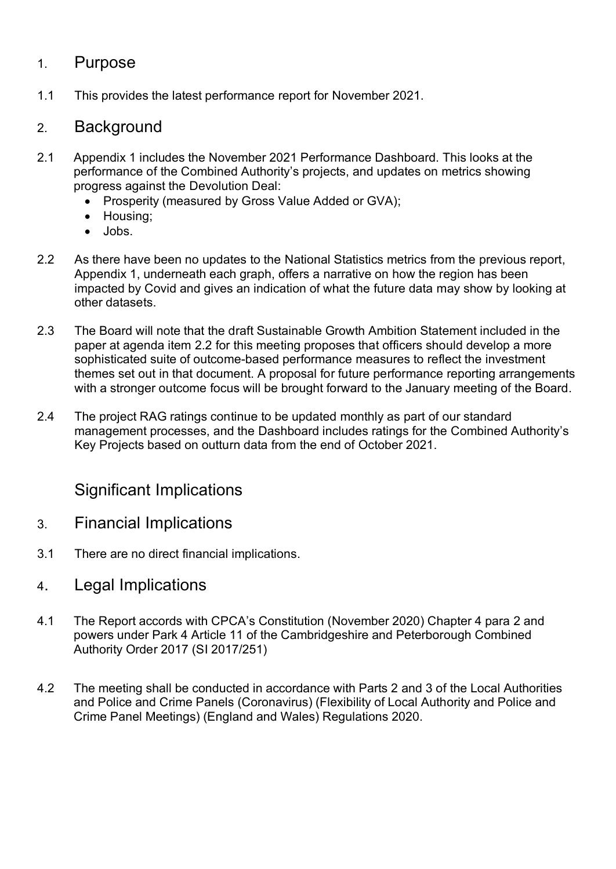#### 1. Purpose

1.1 This provides the latest performance report for November 2021.

#### 2. Background

- 2.1 Appendix 1 includes the November 2021 Performance Dashboard. This looks at the performance of the Combined Authority's projects, and updates on metrics showing progress against the Devolution Deal:
	- Prosperity (measured by Gross Value Added or GVA);
	- Housing;
	- Jobs.
- 2.2 As there have been no updates to the National Statistics metrics from the previous report, Appendix 1, underneath each graph, offers a narrative on how the region has been impacted by Covid and gives an indication of what the future data may show by looking at other datasets.
- 2.3 The Board will note that the draft Sustainable Growth Ambition Statement included in the paper at agenda item 2.2 for this meeting proposes that officers should develop a more sophisticated suite of outcome-based performance measures to reflect the investment themes set out in that document. A proposal for future performance reporting arrangements with a stronger outcome focus will be brought forward to the January meeting of the Board.
- 2.4 The project RAG ratings continue to be updated monthly as part of our standard management processes, and the Dashboard includes ratings for the Combined Authority's Key Projects based on outturn data from the end of October 2021.

### Significant Implications

- 3. Financial Implications
- 3.1 There are no direct financial implications.
- 4. Legal Implications
- 4.1 The Report accords with CPCA's Constitution (November 2020) Chapter 4 para 2 and powers under Park 4 Article 11 of the Cambridgeshire and Peterborough Combined Authority Order 2017 (SI 2017/251)
- 4.2 The meeting shall be conducted in accordance with Parts 2 and 3 of the Local Authorities and Police and Crime Panels (Coronavirus) (Flexibility of Local Authority and Police and Crime Panel Meetings) (England and Wales) Regulations 2020.